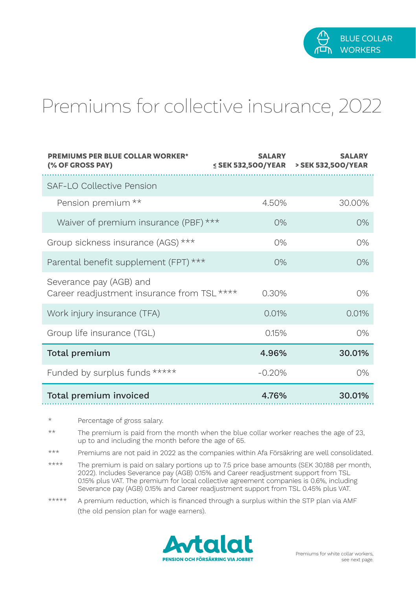

## Premiums for collective insurance, 2022

| <b>PREMIUMS PER BLUE COLLAR WORKER*</b><br>(% OF GROSS PAY)            | <b>SALARY</b><br>≤ SEK 532,500/YEAR | <b>SALARY</b><br>> SEK 532,500/YEAR |
|------------------------------------------------------------------------|-------------------------------------|-------------------------------------|
| SAF-LO Collective Pension                                              |                                     |                                     |
| Pension premium **                                                     | 450%                                | 30,00%                              |
| Waiver of premium insurance (PBF) ***                                  | 0%                                  | 0%                                  |
| Group sickness insurance (AGS) ***                                     | 0%                                  | 0%                                  |
| Parental benefit supplement (FPT) ***                                  | O%                                  | 0%                                  |
| Severance pay (AGB) and<br>Career readjustment insurance from TSL **** | 0.30%                               | 0%                                  |
| Work injury insurance (TFA)                                            | 0.01%                               | 0.01%                               |
| Group life insurance (TGL)                                             | 0.15%                               | 0%                                  |
| Total premium                                                          | 4.96%                               | 30.01%                              |
| Funded by surplus funds *****                                          | $-0.20%$                            | 0%                                  |
| Total premium invoiced                                                 | 4.76%                               | 30.01%                              |

- Percentage of gross salary.
- \*\* The premium is paid from the month when the blue collar worker reaches the age of 23, up to and including the month before the age of 65.
- \*\*\* Premiums are not paid in 2022 as the companies within Afa Försäkring are well consolidated.
- \*\*\*\* The premium is paid on salary portions up to 7.5 price base amounts (SEK 30,188 per month, 2022). Includes Severance pay (AGB) 0.15% and Career readjustment support from TSL 0.15% plus VAT. The premium for local collective agreement companies is 0.6%, including Severance pay (AGB) 0.15% and Career readjustment support from TSL 0.45% plus VAT.
- \*\*\*\*\* A premium reduction, which is financed through a surplus within the STP plan via AMF (the old pension plan for wage earners).